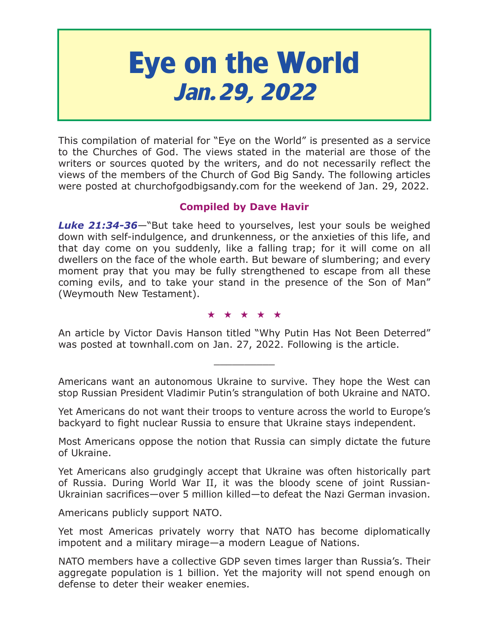# **Eye on the World Jan.29, 2022**

This compilation of material for "Eye on the World" is presented as a service to the Churches of God. The views stated in the material are those of the writers or sources quoted by the writers, and do not necessarily reflect the views of the members of the Church of God Big Sandy. The following articles were posted at churchofgodbigsandy.com for the weekend of Jan. 29, 2022.

# **Compiled by Dave Havir**

*Luke 21:34-36*—"But take heed to yourselves, lest your souls be weighed down with self-indulgence, and drunkenness, or the anxieties of this life, and that day come on you suddenly, like a falling trap; for it will come on all dwellers on the face of the whole earth. But beware of slumbering; and every moment pray that you may be fully strengthened to escape from all these coming evils, and to take your stand in the presence of the Son of Man" (Weymouth New Testament).

#### ★★★★★

An article by Victor Davis Hanson titled "Why Putin Has Not Been Deterred" was posted at townhall.com on Jan. 27, 2022. Following is the article.

 $\overline{\phantom{a}}$  , where  $\overline{\phantom{a}}$ 

Americans want an autonomous Ukraine to survive. They hope the West can stop Russian President Vladimir Putin's strangulation of both Ukraine and NATO.

Yet Americans do not want their troops to venture across the world to Europe's backyard to fight nuclear Russia to ensure that Ukraine stays independent.

Most Americans oppose the notion that Russia can simply dictate the future of Ukraine.

Yet Americans also grudgingly accept that Ukraine was often historically part of Russia. During World War II, it was the bloody scene of joint Russian-Ukrainian sacrifices—over 5 million killed—to defeat the Nazi German invasion.

Americans publicly support NATO.

Yet most Americas privately worry that NATO has become diplomatically impotent and a military mirage—a modern League of Nations.

NATO members have a collective GDP seven times larger than Russia's. Their aggregate population is 1 billion. Yet the majority will not spend enough on defense to deter their weaker enemies.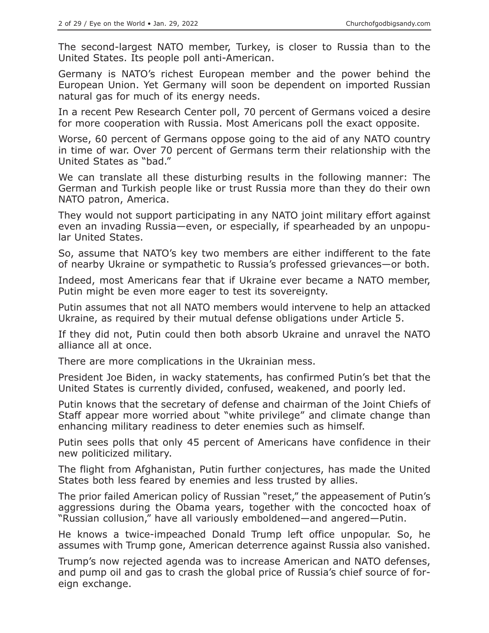The second-largest NATO member, Turkey, is closer to Russia than to the United States. Its people poll anti-American.

Germany is NATO's richest European member and the power behind the European Union. Yet Germany will soon be dependent on imported Russian natural gas for much of its energy needs.

In a recent Pew Research Center poll, 70 percent of Germans voiced a desire for more cooperation with Russia. Most Americans poll the exact opposite.

Worse, 60 percent of Germans oppose going to the aid of any NATO country in time of war. Over 70 percent of Germans term their relationship with the United States as "bad."

We can translate all these disturbing results in the following manner: The German and Turkish people like or trust Russia more than they do their own NATO patron, America.

They would not support participating in any NATO joint military effort against even an invading Russia—even, or especially, if spearheaded by an unpopular United States.

So, assume that NATO's key two members are either indifferent to the fate of nearby Ukraine or sympathetic to Russia's professed grievances—or both.

Indeed, most Americans fear that if Ukraine ever became a NATO member, Putin might be even more eager to test its sovereignty.

Putin assumes that not all NATO members would intervene to help an attacked Ukraine, as required by their mutual defense obligations under Article 5.

If they did not, Putin could then both absorb Ukraine and unravel the NATO alliance all at once.

There are more complications in the Ukrainian mess.

President Joe Biden, in wacky statements, has confirmed Putin's bet that the United States is currently divided, confused, weakened, and poorly led.

Putin knows that the secretary of defense and chairman of the Joint Chiefs of Staff appear more worried about "white privilege" and climate change than enhancing military readiness to deter enemies such as himself.

Putin sees polls that only 45 percent of Americans have confidence in their new politicized military.

The flight from Afghanistan, Putin further conjectures, has made the United States both less feared by enemies and less trusted by allies.

The prior failed American policy of Russian "reset," the appeasement of Putin's aggressions during the Obama years, together with the concocted hoax of "Russian collusion," have all variously emboldened—and angered—Putin.

He knows a twice-impeached Donald Trump left office unpopular. So, he assumes with Trump gone, American deterrence against Russia also vanished.

Trump's now rejected agenda was to increase American and NATO defenses, and pump oil and gas to crash the global price of Russia's chief source of foreign exchange.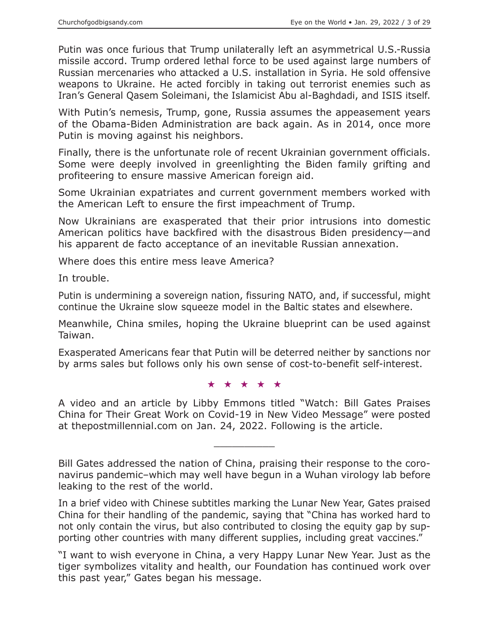Putin was once furious that Trump unilaterally left an asymmetrical U.S.-Russia missile accord. Trump ordered lethal force to be used against large numbers of Russian mercenaries who attacked a U.S. installation in Syria. He sold offensive weapons to Ukraine. He acted forcibly in taking out terrorist enemies such as Iran's General Qasem Soleimani, the Islamicist Abu al-Baghdadi, and ISIS itself.

With Putin's nemesis, Trump, gone, Russia assumes the appeasement years of the Obama-Biden Administration are back again. As in 2014, once more Putin is moving against his neighbors.

Finally, there is the unfortunate role of recent Ukrainian government officials. Some were deeply involved in greenlighting the Biden family grifting and profiteering to ensure massive American foreign aid.

Some Ukrainian expatriates and current government members worked with the American Left to ensure the first impeachment of Trump.

Now Ukrainians are exasperated that their prior intrusions into domestic American politics have backfired with the disastrous Biden presidency—and his apparent de facto acceptance of an inevitable Russian annexation.

Where does this entire mess leave America?

In trouble.

Putin is undermining a sovereign nation, fissuring NATO, and, if successful, might continue the Ukraine slow squeeze model in the Baltic states and elsewhere.

Meanwhile, China smiles, hoping the Ukraine blueprint can be used against Taiwan.

Exasperated Americans fear that Putin will be deterred neither by sanctions nor by arms sales but follows only his own sense of cost-to-benefit self-interest.

★★★★★

A video and an article by Libby Emmons titled "Watch: Bill Gates Praises China for Their Great Work on Covid-19 in New Video Message" were posted at thepostmillennial.com on Jan. 24, 2022. Following is the article.

 $\overline{\phantom{a}}$  , where  $\overline{\phantom{a}}$ 

Bill Gates addressed the nation of China, praising their response to the coronavirus pandemic–which may well have begun in a Wuhan virology lab before leaking to the rest of the world.

In a brief video with Chinese subtitles marking the Lunar New Year, Gates praised China for their handling of the pandemic, saying that "China has worked hard to not only contain the virus, but also contributed to closing the equity gap by supporting other countries with many different supplies, including great vaccines."

"I want to wish everyone in China, a very Happy Lunar New Year. Just as the tiger symbolizes vitality and health, our Foundation has continued work over this past year," Gates began his message.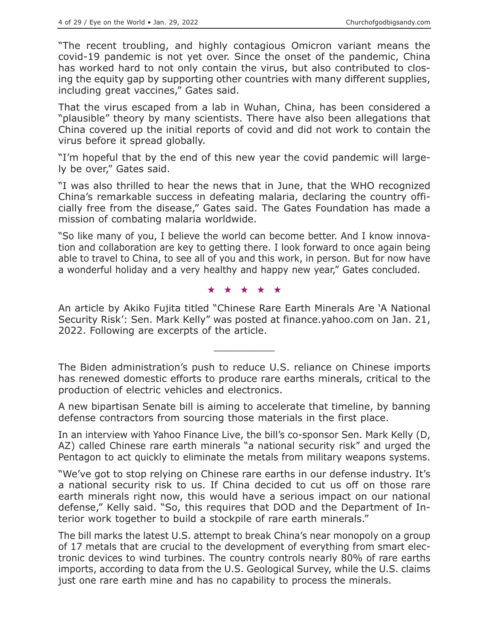"The recent troubling, and highly contagious Omicron variant means the covid-19 pandemic is not yet over. Since the onset of the pandemic, China has worked hard to not only contain the virus, but also contributed to closing the equity gap by supporting other countries with many different supplies, including great vaccines," Gates said.

That the virus escaped from a lab in Wuhan, China, has been considered a "plausible" theory by many scientists. There have also been allegations that China covered up the initial reports of covid and did not work to contain the virus before it spread globally.

"I'm hopeful that by the end of this new year the covid pandemic will largely be over," Gates said.

"I was also thrilled to hear the news that in June, that the WHO recognized China's remarkable success in defeating malaria, declaring the country officially free from the disease," Gates said. The Gates Foundation has made a mission of combating malaria worldwide.

"So like many of you, I believe the world can become better. And I know innovation and collaboration are key to getting there. I look forward to once again being able to travel to China, to see all of you and this work, in person. But for now have a wonderful holiday and a very healthy and happy new year," Gates concluded.

★★★★★

An article by Akiko Fujita titled "Chinese Rare Earth Minerals Are 'A National Security Risk': Sen. Mark Kelly" was posted at finance.yahoo.com on Jan. 21, 2022. Following are excerpts of the article.

 $\overline{\phantom{a}}$  , where  $\overline{\phantom{a}}$ 

The Biden administration's push to reduce U.S. reliance on Chinese imports has renewed domestic efforts to produce rare earths minerals, critical to the production of electric vehicles and electronics.

A new bipartisan Senate bill is aiming to accelerate that timeline, by banning defense contractors from sourcing those materials in the first place.

In an interview with Yahoo Finance Live, the bill's co-sponsor Sen. Mark Kelly (D, AZ) called Chinese rare earth minerals "a national security risk" and urged the Pentagon to act quickly to eliminate the metals from military weapons systems.

"We've got to stop relying on Chinese rare earths in our defense industry. It's a national security risk to us. If China decided to cut us off on those rare earth minerals right now, this would have a serious impact on our national defense," Kelly said. "So, this requires that DOD and the Department of Interior work together to build a stockpile of rare earth minerals."

The bill marks the latest U.S. attempt to break China's near monopoly on a group of 17 metals that are crucial to the development of everything from smart electronic devices to wind turbines. The country controls nearly 80% of rare earths imports, according to data from the U.S. Geological Survey, while the U.S. claims just one rare earth mine and has no capability to process the minerals.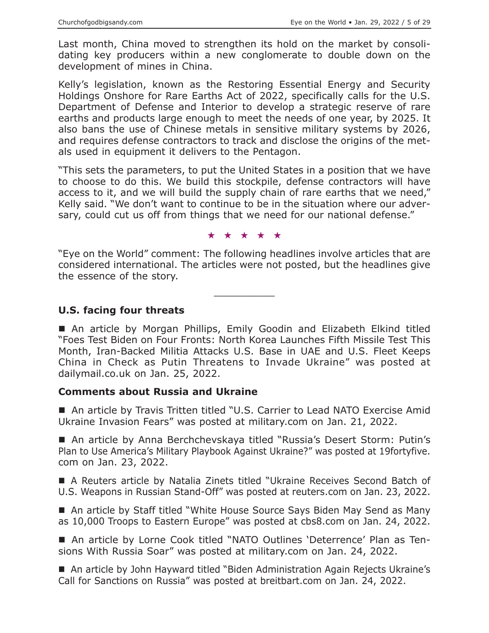Last month, China moved to strengthen its hold on the market by consolidating key producers within a new conglomerate to double down on the development of mines in China.

Kelly's legislation, known as the Restoring Essential Energy and Security Holdings Onshore for Rare Earths Act of 2022, specifically calls for the U.S. Department of Defense and Interior to develop a strategic reserve of rare earths and products large enough to meet the needs of one year, by 2025. It also bans the use of Chinese metals in sensitive military systems by 2026, and requires defense contractors to track and disclose the origins of the metals used in equipment it delivers to the Pentagon.

"This sets the parameters, to put the United States in a position that we have to choose to do this. We build this stockpile, defense contractors will have access to it, and we will build the supply chain of rare earths that we need," Kelly said. "We don't want to continue to be in the situation where our adversary, could cut us off from things that we need for our national defense."

#### ★★★★★

"Eye on the World" comment: The following headlines involve articles that are considered international. The articles were not posted, but the headlines give the essence of the story.

 $\overline{\phantom{a}}$  , where  $\overline{\phantom{a}}$ 

**U.S. facing four threats**

 An article by Morgan Phillips, Emily Goodin and Elizabeth Elkind titled "Foes Test Biden on Four Fronts: North Korea Launches Fifth Missile Test This Month, Iran-Backed Militia Attacks U.S. Base in UAE and U.S. Fleet Keeps China in Check as Putin Threatens to Invade Ukraine" was posted at dailymail.co.uk on Jan. 25, 2022.

#### **Comments about Russia and Ukraine**

■ An article by Travis Tritten titled "U.S. Carrier to Lead NATO Exercise Amid Ukraine Invasion Fears" was posted at military.com on Jan. 21, 2022.

■ An article by Anna Berchchevskaya titled "Russia's Desert Storm: Putin's Plan to Use America's Military Playbook Against Ukraine?" was posted at 19fortyfive. com on Jan. 23, 2022.

 A Reuters article by Natalia Zinets titled "Ukraine Receives Second Batch of U.S. Weapons in Russian Stand-Off" was posted at reuters.com on Jan. 23, 2022.

■ An article by Staff titled "White House Source Says Biden May Send as Many as 10,000 Troops to Eastern Europe" was posted at cbs8.com on Jan. 24, 2022.

 An article by Lorne Cook titled "NATO Outlines 'Deterrence' Plan as Tensions With Russia Soar" was posted at military.com on Jan. 24, 2022.

■ An article by John Hayward titled "Biden Administration Again Rejects Ukraine's Call for Sanctions on Russia" was posted at breitbart.com on Jan. 24, 2022.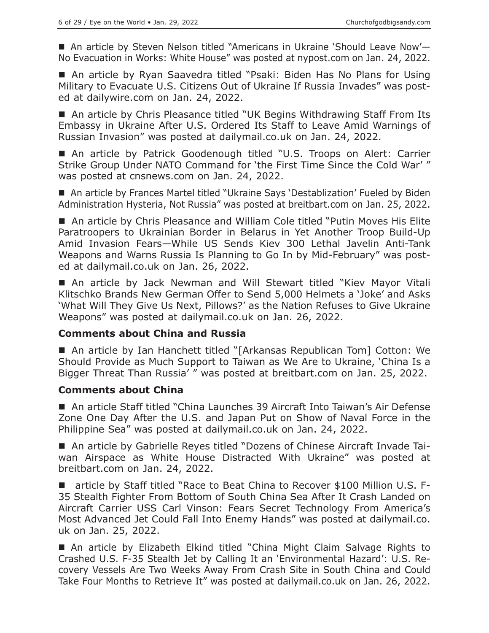■ An article by Steven Nelson titled "Americans in Ukraine 'Should Leave Now'-No Evacuation in Works: White House" was posted at nypost.com on Jan. 24, 2022.

■ An article by Ryan Saavedra titled "Psaki: Biden Has No Plans for Using Military to Evacuate U.S. Citizens Out of Ukraine If Russia Invades" was posted at dailywire.com on Jan. 24, 2022.

■ An article by Chris Pleasance titled "UK Begins Withdrawing Staff From Its Embassy in Ukraine After U.S. Ordered Its Staff to Leave Amid Warnings of Russian Invasion" was posted at dailymail.co.uk on Jan. 24, 2022.

■ An article by Patrick Goodenough titled "U.S. Troops on Alert: Carrier Strike Group Under NATO Command for 'the First Time Since the Cold War' " was posted at cnsnews.com on Jan. 24, 2022.

■ An article by Frances Martel titled "Ukraine Says 'Destablization' Fueled by Biden Administration Hysteria, Not Russia" was posted at breitbart.com on Jan. 25, 2022.

 An article by Chris Pleasance and William Cole titled "Putin Moves His Elite Paratroopers to Ukrainian Border in Belarus in Yet Another Troop Build-Up Amid Invasion Fears—While US Sends Kiev 300 Lethal Javelin Anti-Tank Weapons and Warns Russia Is Planning to Go In by Mid-February" was posted at dailymail.co.uk on Jan. 26, 2022.

 An article by Jack Newman and Will Stewart titled "Kiev Mayor Vitali Klitschko Brands New German Offer to Send 5,000 Helmets a 'Joke' and Asks 'What Will They Give Us Next, Pillows?' as the Nation Refuses to Give Ukraine Weapons" was posted at dailymail.co.uk on Jan. 26, 2022.

## **Comments about China and Russia**

 An article by Ian Hanchett titled "[Arkansas Republican Tom] Cotton: We Should Provide as Much Support to Taiwan as We Are to Ukraine, 'China Is a Bigger Threat Than Russia' " was posted at breitbart.com on Jan. 25, 2022.

## **Comments about China**

 An article Staff titled "China Launches 39 Aircraft Into Taiwan's Air Defense Zone One Day After the U.S. and Japan Put on Show of Naval Force in the Philippine Sea" was posted at dailymail.co.uk on Jan. 24, 2022.

 An article by Gabrielle Reyes titled "Dozens of Chinese Aircraft Invade Taiwan Airspace as White House Distracted With Ukraine" was posted at breitbart.com on Jan. 24, 2022.

■ article by Staff titled "Race to Beat China to Recover \$100 Million U.S. F-35 Stealth Fighter From Bottom of South China Sea After It Crash Landed on Aircraft Carrier USS Carl Vinson: Fears Secret Technology From America's Most Advanced Jet Could Fall Into Enemy Hands" was posted at dailymail.co. uk on Jan. 25, 2022.

■ An article by Elizabeth Elkind titled "China Might Claim Salvage Rights to Crashed U.S. F-35 Stealth Jet by Calling It an 'Environmental Hazard': U.S. Recovery Vessels Are Two Weeks Away From Crash Site in South China and Could Take Four Months to Retrieve It" was posted at dailymail.co.uk on Jan. 26, 2022.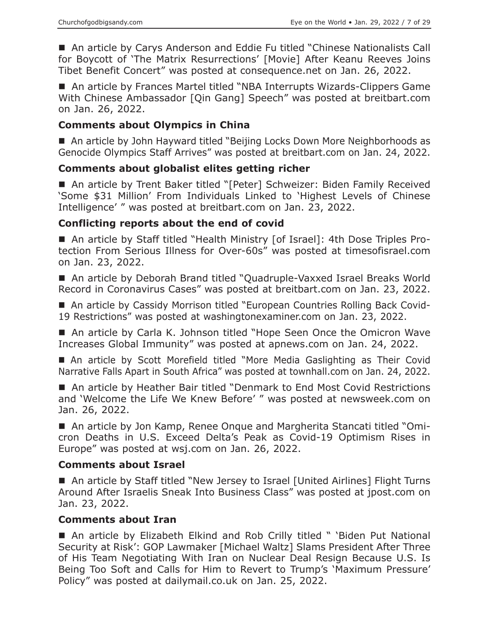An article by Carys Anderson and Eddie Fu titled "Chinese Nationalists Call for Boycott of 'The Matrix Resurrections' [Movie] After Keanu Reeves Joins Tibet Benefit Concert" was posted at consequence.net on Jan. 26, 2022.

■ An article by Frances Martel titled "NBA Interrupts Wizards-Clippers Game With Chinese Ambassador [Qin Gang] Speech" was posted at breitbart.com on Jan. 26, 2022.

## **Comments about Olympics in China**

■ An article by John Hayward titled "Beijing Locks Down More Neighborhoods as Genocide Olympics Staff Arrives" was posted at breitbart.com on Jan. 24, 2022.

#### **Comments about globalist elites getting richer**

■ An article by Trent Baker titled "[Peter] Schweizer: Biden Family Received 'Some \$31 Million' From Individuals Linked to 'Highest Levels of Chinese Intelligence' " was posted at breitbart.com on Jan. 23, 2022.

#### **Conflicting reports about the end of covid**

■ An article by Staff titled "Health Ministry [of Israel]: 4th Dose Triples Protection From Serious Illness for Over-60s" was posted at timesofisrael.com on Jan. 23, 2022.

■ An article by Deborah Brand titled "Quadruple-Vaxxed Israel Breaks World Record in Coronavirus Cases" was posted at breitbart.com on Jan. 23, 2022.

■ An article by Cassidy Morrison titled "European Countries Rolling Back Covid-19 Restrictions" was posted at washingtonexaminer.com on Jan. 23, 2022.

■ An article by Carla K. Johnson titled "Hope Seen Once the Omicron Wave Increases Global Immunity" was posted at apnews.com on Jan. 24, 2022.

 An article by Scott Morefield titled "More Media Gaslighting as Their Covid Narrative Falls Apart in South Africa" was posted at townhall.com on Jan. 24, 2022.

■ An article by Heather Bair titled "Denmark to End Most Covid Restrictions and 'Welcome the Life We Knew Before' " was posted at newsweek.com on Jan. 26, 2022.

■ An article by Jon Kamp, Renee Onque and Margherita Stancati titled "Omicron Deaths in U.S. Exceed Delta's Peak as Covid-19 Optimism Rises in Europe" was posted at wsj.com on Jan. 26, 2022.

#### **Comments about Israel**

■ An article by Staff titled "New Jersey to Israel [United Airlines] Flight Turns Around After Israelis Sneak Into Business Class" was posted at jpost.com on Jan. 23, 2022.

#### **Comments about Iran**

■ An article by Elizabeth Elkind and Rob Crilly titled " 'Biden Put National Security at Risk': GOP Lawmaker [Michael Waltz] Slams President After Three of His Team Negotiating With Iran on Nuclear Deal Resign Because U.S. Is Being Too Soft and Calls for Him to Revert to Trump's 'Maximum Pressure' Policy" was posted at dailymail.co.uk on Jan. 25, 2022.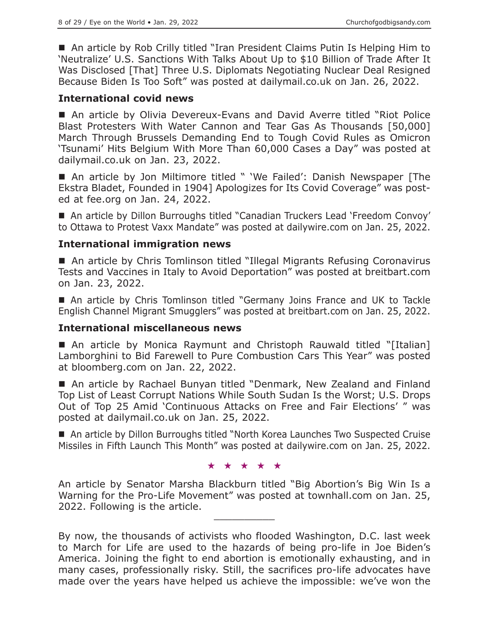■ An article by Rob Crilly titled "Iran President Claims Putin Is Helping Him to 'Neutralize' U.S. Sanctions With Talks About Up to \$10 Billion of Trade After It Was Disclosed [That] Three U.S. Diplomats Negotiating Nuclear Deal Resigned Because Biden Is Too Soft" was posted at dailymail.co.uk on Jan. 26, 2022.

#### **International covid news**

 An article by Olivia Devereux-Evans and David Averre titled "Riot Police Blast Protesters With Water Cannon and Tear Gas As Thousands [50,000] March Through Brussels Demanding End to Tough Covid Rules as Omicron 'Tsunami' Hits Belgium With More Than 60,000 Cases a Day" was posted at dailymail.co.uk on Jan. 23, 2022.

 An article by Jon Miltimore titled " 'We Failed': Danish Newspaper [The Ekstra Bladet, Founded in 1904] Apologizes for Its Covid Coverage" was posted at fee.org on Jan. 24, 2022.

■ An article by Dillon Burroughs titled "Canadian Truckers Lead 'Freedom Convoy' to Ottawa to Protest Vaxx Mandate" was posted at dailywire.com on Jan. 25, 2022.

## **International immigration news**

■ An article by Chris Tomlinson titled "Illegal Migrants Refusing Coronavirus Tests and Vaccines in Italy to Avoid Deportation" was posted at breitbart.com on Jan. 23, 2022.

 An article by Chris Tomlinson titled "Germany Joins France and UK to Tackle English Channel Migrant Smugglers" was posted at breitbart.com on Jan. 25, 2022.

#### **International miscellaneous news**

 An article by Monica Raymunt and Christoph Rauwald titled "[Italian] Lamborghini to Bid Farewell to Pure Combustion Cars This Year" was posted at bloomberg.com on Jan. 22, 2022.

■ An article by Rachael Bunyan titled "Denmark, New Zealand and Finland Top List of Least Corrupt Nations While South Sudan Is the Worst; U.S. Drops Out of Top 25 Amid 'Continuous Attacks on Free and Fair Elections' " was posted at dailymail.co.uk on Jan. 25, 2022.

■ An article by Dillon Burroughs titled "North Korea Launches Two Suspected Cruise Missiles in Fifth Launch This Month" was posted at dailywire.com on Jan. 25, 2022.

#### ★★★★★

An article by Senator Marsha Blackburn titled "Big Abortion's Big Win Is a Warning for the Pro-Life Movement" was posted at townhall.com on Jan. 25, 2022. Following is the article.

By now, the thousands of activists who flooded Washington, D.C. last week to March for Life are used to the hazards of being pro-life in Joe Biden's America. Joining the fight to end abortion is emotionally exhausting, and in many cases, professionally risky. Still, the sacrifices pro-life advocates have made over the years have helped us achieve the impossible: we've won the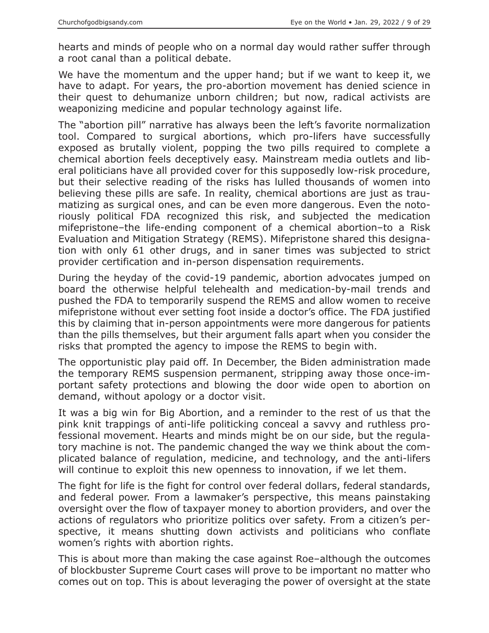hearts and minds of people who on a normal day would rather suffer through a root canal than a political debate.

We have the momentum and the upper hand; but if we want to keep it, we have to adapt. For years, the pro-abortion movement has denied science in their quest to dehumanize unborn children; but now, radical activists are weaponizing medicine and popular technology against life.

The "abortion pill" narrative has always been the left's favorite normalization tool. Compared to surgical abortions, which pro-lifers have successfully exposed as brutally violent, popping the two pills required to complete a chemical abortion feels deceptively easy. Mainstream media outlets and liberal politicians have all provided cover for this supposedly low-risk procedure, but their selective reading of the risks has lulled thousands of women into believing these pills are safe. In reality, chemical abortions are just as traumatizing as surgical ones, and can be even more dangerous. Even the notoriously political FDA recognized this risk, and subjected the medication mifepristone–the life-ending component of a chemical abortion–to a Risk Evaluation and Mitigation Strategy (REMS). Mifepristone shared this designation with only 61 other drugs, and in saner times was subjected to strict provider certification and in-person dispensation requirements.

During the heyday of the covid-19 pandemic, abortion advocates jumped on board the otherwise helpful telehealth and medication-by-mail trends and pushed the FDA to temporarily suspend the REMS and allow women to receive mifepristone without ever setting foot inside a doctor's office. The FDA justified this by claiming that in-person appointments were more dangerous for patients than the pills themselves, but their argument falls apart when you consider the risks that prompted the agency to impose the REMS to begin with.

The opportunistic play paid off. In December, the Biden administration made the temporary REMS suspension permanent, stripping away those once-important safety protections and blowing the door wide open to abortion on demand, without apology or a doctor visit.

It was a big win for Big Abortion, and a reminder to the rest of us that the pink knit trappings of anti-life politicking conceal a savvy and ruthless professional movement. Hearts and minds might be on our side, but the regulatory machine is not. The pandemic changed the way we think about the complicated balance of regulation, medicine, and technology, and the anti-lifers will continue to exploit this new openness to innovation, if we let them.

The fight for life is the fight for control over federal dollars, federal standards, and federal power. From a lawmaker's perspective, this means painstaking oversight over the flow of taxpayer money to abortion providers, and over the actions of regulators who prioritize politics over safety. From a citizen's perspective, it means shutting down activists and politicians who conflate women's rights with abortion rights.

This is about more than making the case against Roe–although the outcomes of blockbuster Supreme Court cases will prove to be important no matter who comes out on top. This is about leveraging the power of oversight at the state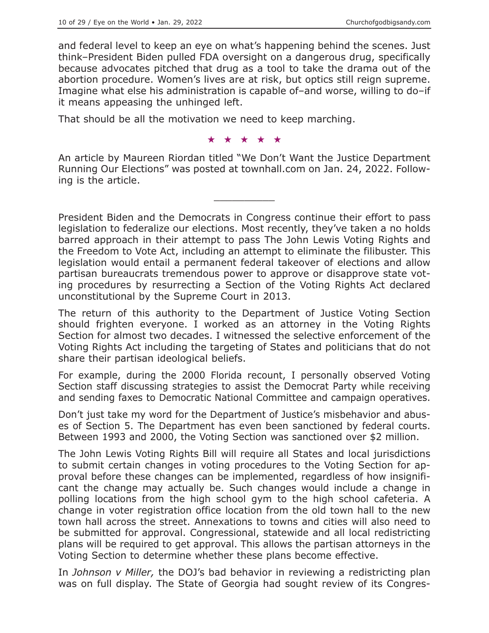and federal level to keep an eye on what's happening behind the scenes. Just think–President Biden pulled FDA oversight on a dangerous drug, specifically because advocates pitched that drug as a tool to take the drama out of the abortion procedure. Women's lives are at risk, but optics still reign supreme. Imagine what else his administration is capable of–and worse, willing to do–if it means appeasing the unhinged left.

That should be all the motivation we need to keep marching.

★★★★★

An article by Maureen Riordan titled "We Don't Want the Justice Department Running Our Elections" was posted at townhall.com on Jan. 24, 2022. Following is the article.

 $\overline{\phantom{a}}$  , where  $\overline{\phantom{a}}$ 

President Biden and the Democrats in Congress continue their effort to pass legislation to federalize our elections. Most recently, they've taken a no holds barred approach in their attempt to pass The John Lewis Voting Rights and the Freedom to Vote Act, including an attempt to eliminate the filibuster. This legislation would entail a permanent federal takeover of elections and allow partisan bureaucrats tremendous power to approve or disapprove state voting procedures by resurrecting a Section of the Voting Rights Act declared unconstitutional by the Supreme Court in 2013.

The return of this authority to the Department of Justice Voting Section should frighten everyone. I worked as an attorney in the Voting Rights Section for almost two decades. I witnessed the selective enforcement of the Voting Rights Act including the targeting of States and politicians that do not share their partisan ideological beliefs.

For example, during the 2000 Florida recount, I personally observed Voting Section staff discussing strategies to assist the Democrat Party while receiving and sending faxes to Democratic National Committee and campaign operatives.

Don't just take my word for the Department of Justice's misbehavior and abuses of Section 5. The Department has even been sanctioned by federal courts. Between 1993 and 2000, the Voting Section was sanctioned over \$2 million.

The John Lewis Voting Rights Bill will require all States and local jurisdictions to submit certain changes in voting procedures to the Voting Section for approval before these changes can be implemented, regardless of how insignificant the change may actually be. Such changes would include a change in polling locations from the high school gym to the high school cafeteria. A change in voter registration office location from the old town hall to the new town hall across the street. Annexations to towns and cities will also need to be submitted for approval. Congressional, statewide and all local redistricting plans will be required to get approval. This allows the partisan attorneys in the Voting Section to determine whether these plans become effective.

In *Johnson v Miller,* the DOJ's bad behavior in reviewing a redistricting plan was on full display. The State of Georgia had sought review of its Congres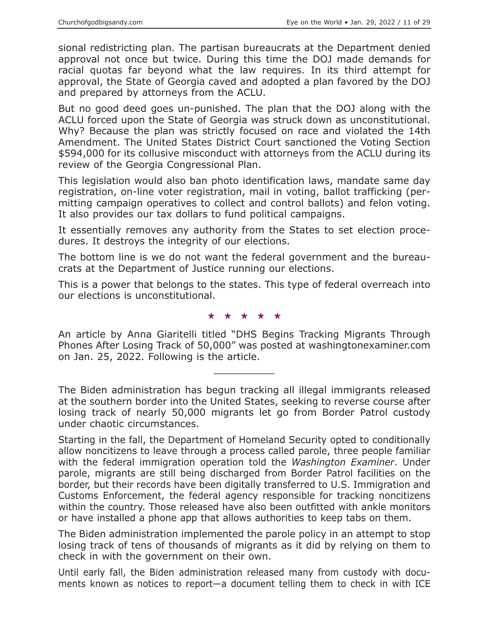sional redistricting plan. The partisan bureaucrats at the Department denied approval not once but twice. During this time the DOJ made demands for racial quotas far beyond what the law requires. In its third attempt for approval, the State of Georgia caved and adopted a plan favored by the DOJ and prepared by attorneys from the ACLU.

But no good deed goes un-punished. The plan that the DOJ along with the ACLU forced upon the State of Georgia was struck down as unconstitutional. Why? Because the plan was strictly focused on race and violated the 14th Amendment. The United States District Court sanctioned the Voting Section \$594,000 for its collusive misconduct with attorneys from the ACLU during its review of the Georgia Congressional Plan.

This legislation would also ban photo identification laws, mandate same day registration, on-line voter registration, mail in voting, ballot trafficking (permitting campaign operatives to collect and control ballots) and felon voting. It also provides our tax dollars to fund political campaigns.

It essentially removes any authority from the States to set election procedures. It destroys the integrity of our elections.

The bottom line is we do not want the federal government and the bureaucrats at the Department of Justice running our elections.

This is a power that belongs to the states. This type of federal overreach into our elections is unconstitutional.

★★★★★

An article by Anna Giaritelli titled "DHS Begins Tracking Migrants Through Phones After Losing Track of 50,000" was posted at washingtonexaminer.com on Jan. 25, 2022. Following is the article.

 $\overline{\phantom{a}}$  , where  $\overline{\phantom{a}}$ 

The Biden administration has begun tracking all illegal immigrants released at the southern border into the United States, seeking to reverse course after losing track of nearly 50,000 migrants let go from Border Patrol custody under chaotic circumstances.

Starting in the fall, the Department of Homeland Security opted to conditionally allow noncitizens to leave through a process called parole, three people familiar with the federal immigration operation told the *Washington Examiner*. Under parole, migrants are still being discharged from Border Patrol facilities on the border, but their records have been digitally transferred to U.S. Immigration and Customs Enforcement, the federal agency responsible for tracking noncitizens within the country. Those released have also been outfitted with ankle monitors or have installed a phone app that allows authorities to keep tabs on them.

The Biden administration implemented the parole policy in an attempt to stop losing track of tens of thousands of migrants as it did by relying on them to check in with the government on their own.

Until early fall, the Biden administration released many from custody with documents known as notices to report—a document telling them to check in with ICE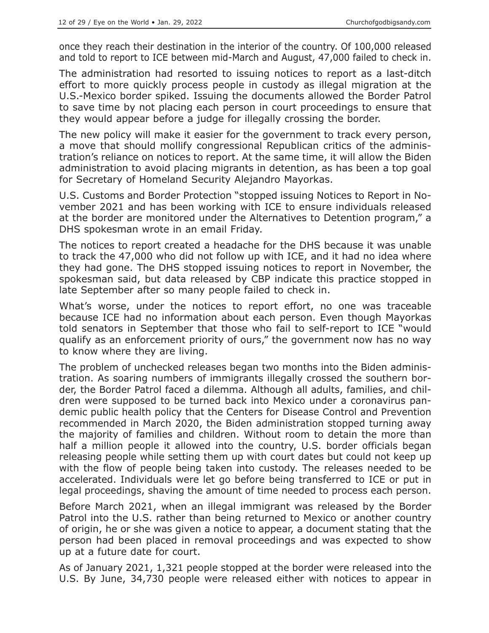once they reach their destination in the interior of the country. Of 100,000 released and told to report to ICE between mid-March and August, 47,000 failed to check in.

The administration had resorted to issuing notices to report as a last-ditch effort to more quickly process people in custody as illegal migration at the U.S.-Mexico border spiked. Issuing the documents allowed the Border Patrol to save time by not placing each person in court proceedings to ensure that they would appear before a judge for illegally crossing the border.

The new policy will make it easier for the government to track every person, a move that should mollify congressional Republican critics of the administration's reliance on notices to report. At the same time, it will allow the Biden administration to avoid placing migrants in detention, as has been a top goal for Secretary of Homeland Security Alejandro Mayorkas.

U.S. Customs and Border Protection "stopped issuing Notices to Report in November 2021 and has been working with ICE to ensure individuals released at the border are monitored under the Alternatives to Detention program," a DHS spokesman wrote in an email Friday.

The notices to report created a headache for the DHS because it was unable to track the 47,000 who did not follow up with ICE, and it had no idea where they had gone. The DHS stopped issuing notices to report in November, the spokesman said, but data released by CBP indicate this practice stopped in late September after so many people failed to check in.

What's worse, under the notices to report effort, no one was traceable because ICE had no information about each person. Even though Mayorkas told senators in September that those who fail to self-report to ICE "would qualify as an enforcement priority of ours," the government now has no way to know where they are living.

The problem of unchecked releases began two months into the Biden administration. As soaring numbers of immigrants illegally crossed the southern border, the Border Patrol faced a dilemma. Although all adults, families, and children were supposed to be turned back into Mexico under a coronavirus pandemic public health policy that the Centers for Disease Control and Prevention recommended in March 2020, the Biden administration stopped turning away the majority of families and children. Without room to detain the more than half a million people it allowed into the country, U.S. border officials began releasing people while setting them up with court dates but could not keep up with the flow of people being taken into custody. The releases needed to be accelerated. Individuals were let go before being transferred to ICE or put in legal proceedings, shaving the amount of time needed to process each person.

Before March 2021, when an illegal immigrant was released by the Border Patrol into the U.S. rather than being returned to Mexico or another country of origin, he or she was given a notice to appear, a document stating that the person had been placed in removal proceedings and was expected to show up at a future date for court.

As of January 2021, 1,321 people stopped at the border were released into the U.S. By June, 34,730 people were released either with notices to appear in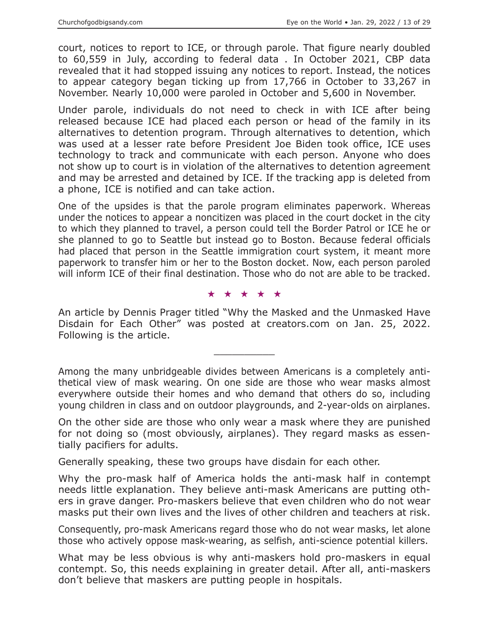court, notices to report to ICE, or through parole. That figure nearly doubled to 60,559 in July, according to federal data . In October 2021, CBP data revealed that it had stopped issuing any notices to report. Instead, the notices to appear category began ticking up from 17,766 in October to 33,267 in November. Nearly 10,000 were paroled in October and 5,600 in November.

Under parole, individuals do not need to check in with ICE after being released because ICE had placed each person or head of the family in its alternatives to detention program. Through alternatives to detention, which was used at a lesser rate before President Joe Biden took office, ICE uses technology to track and communicate with each person. Anyone who does not show up to court is in violation of the alternatives to detention agreement and may be arrested and detained by ICE. If the tracking app is deleted from a phone, ICE is notified and can take action.

One of the upsides is that the parole program eliminates paperwork. Whereas under the notices to appear a noncitizen was placed in the court docket in the city to which they planned to travel, a person could tell the Border Patrol or ICE he or she planned to go to Seattle but instead go to Boston. Because federal officials had placed that person in the Seattle immigration court system, it meant more paperwork to transfer him or her to the Boston docket. Now, each person paroled will inform ICE of their final destination. Those who do not are able to be tracked.

★★★★★

An article by Dennis Prager titled "Why the Masked and the Unmasked Have Disdain for Each Other" was posted at creators.com on Jan. 25, 2022. Following is the article.

 $\overline{\phantom{a}}$  , where  $\overline{\phantom{a}}$ 

Among the many unbridgeable divides between Americans is a completely antithetical view of mask wearing. On one side are those who wear masks almost everywhere outside their homes and who demand that others do so, including young children in class and on outdoor playgrounds, and 2-year-olds on airplanes.

On the other side are those who only wear a mask where they are punished for not doing so (most obviously, airplanes). They regard masks as essentially pacifiers for adults.

Generally speaking, these two groups have disdain for each other.

Why the pro-mask half of America holds the anti-mask half in contempt needs little explanation. They believe anti-mask Americans are putting others in grave danger. Pro-maskers believe that even children who do not wear masks put their own lives and the lives of other children and teachers at risk.

Consequently, pro-mask Americans regard those who do not wear masks, let alone those who actively oppose mask-wearing, as selfish, anti-science potential killers.

What may be less obvious is why anti-maskers hold pro-maskers in equal contempt. So, this needs explaining in greater detail. After all, anti-maskers don't believe that maskers are putting people in hospitals.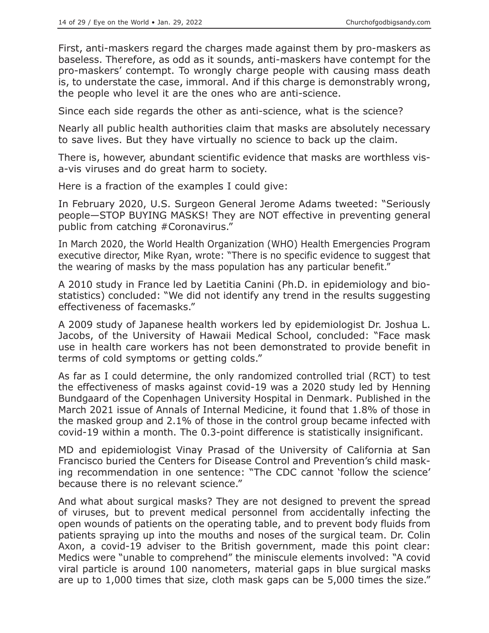First, anti-maskers regard the charges made against them by pro-maskers as baseless. Therefore, as odd as it sounds, anti-maskers have contempt for the pro-maskers' contempt. To wrongly charge people with causing mass death is, to understate the case, immoral. And if this charge is demonstrably wrong, the people who level it are the ones who are anti-science.

Since each side regards the other as anti-science, what is the science?

Nearly all public health authorities claim that masks are absolutely necessary to save lives. But they have virtually no science to back up the claim.

There is, however, abundant scientific evidence that masks are worthless visa-vis viruses and do great harm to society.

Here is a fraction of the examples I could give:

In February 2020, U.S. Surgeon General Jerome Adams tweeted: "Seriously people—STOP BUYING MASKS! They are NOT effective in preventing general public from catching #Coronavirus."

In March 2020, the World Health Organization (WHO) Health Emergencies Program executive director, Mike Ryan, wrote: "There is no specific evidence to suggest that the wearing of masks by the mass population has any particular benefit."

A 2010 study in France led by Laetitia Canini (Ph.D. in epidemiology and biostatistics) concluded: "We did not identify any trend in the results suggesting effectiveness of facemasks."

A 2009 study of Japanese health workers led by epidemiologist Dr. Joshua L. Jacobs, of the University of Hawaii Medical School, concluded: "Face mask use in health care workers has not been demonstrated to provide benefit in terms of cold symptoms or getting colds."

As far as I could determine, the only randomized controlled trial (RCT) to test the effectiveness of masks against covid-19 was a 2020 study led by Henning Bundgaard of the Copenhagen University Hospital in Denmark. Published in the March 2021 issue of Annals of Internal Medicine, it found that 1.8% of those in the masked group and 2.1% of those in the control group became infected with covid-19 within a month. The 0.3-point difference is statistically insignificant.

MD and epidemiologist Vinay Prasad of the University of California at San Francisco buried the Centers for Disease Control and Prevention's child masking recommendation in one sentence: "The CDC cannot 'follow the science' because there is no relevant science."

And what about surgical masks? They are not designed to prevent the spread of viruses, but to prevent medical personnel from accidentally infecting the open wounds of patients on the operating table, and to prevent body fluids from patients spraying up into the mouths and noses of the surgical team. Dr. Colin Axon, a covid-19 adviser to the British government, made this point clear: Medics were "unable to comprehend" the miniscule elements involved: "A covid viral particle is around 100 nanometers, material gaps in blue surgical masks are up to 1,000 times that size, cloth mask gaps can be 5,000 times the size."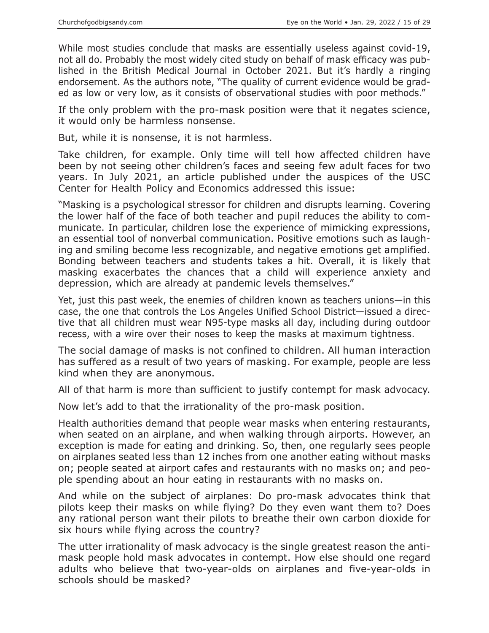While most studies conclude that masks are essentially useless against covid-19, not all do. Probably the most widely cited study on behalf of mask efficacy was published in the British Medical Journal in October 2021. But it's hardly a ringing endorsement. As the authors note, "The quality of current evidence would be graded as low or very low, as it consists of observational studies with poor methods."

If the only problem with the pro-mask position were that it negates science, it would only be harmless nonsense.

But, while it is nonsense, it is not harmless.

Take children, for example. Only time will tell how affected children have been by not seeing other children's faces and seeing few adult faces for two years. In July 2021, an article published under the auspices of the USC Center for Health Policy and Economics addressed this issue:

"Masking is a psychological stressor for children and disrupts learning. Covering the lower half of the face of both teacher and pupil reduces the ability to communicate. In particular, children lose the experience of mimicking expressions, an essential tool of nonverbal communication. Positive emotions such as laughing and smiling become less recognizable, and negative emotions get amplified. Bonding between teachers and students takes a hit. Overall, it is likely that masking exacerbates the chances that a child will experience anxiety and depression, which are already at pandemic levels themselves."

Yet, just this past week, the enemies of children known as teachers unions—in this case, the one that controls the Los Angeles Unified School District—issued a directive that all children must wear N95-type masks all day, including during outdoor recess, with a wire over their noses to keep the masks at maximum tightness.

The social damage of masks is not confined to children. All human interaction has suffered as a result of two years of masking. For example, people are less kind when they are anonymous.

All of that harm is more than sufficient to justify contempt for mask advocacy.

Now let's add to that the irrationality of the pro-mask position.

Health authorities demand that people wear masks when entering restaurants, when seated on an airplane, and when walking through airports. However, an exception is made for eating and drinking. So, then, one regularly sees people on airplanes seated less than 12 inches from one another eating without masks on; people seated at airport cafes and restaurants with no masks on; and people spending about an hour eating in restaurants with no masks on.

And while on the subject of airplanes: Do pro-mask advocates think that pilots keep their masks on while flying? Do they even want them to? Does any rational person want their pilots to breathe their own carbon dioxide for six hours while flying across the country?

The utter irrationality of mask advocacy is the single greatest reason the antimask people hold mask advocates in contempt. How else should one regard adults who believe that two-year-olds on airplanes and five-year-olds in schools should be masked?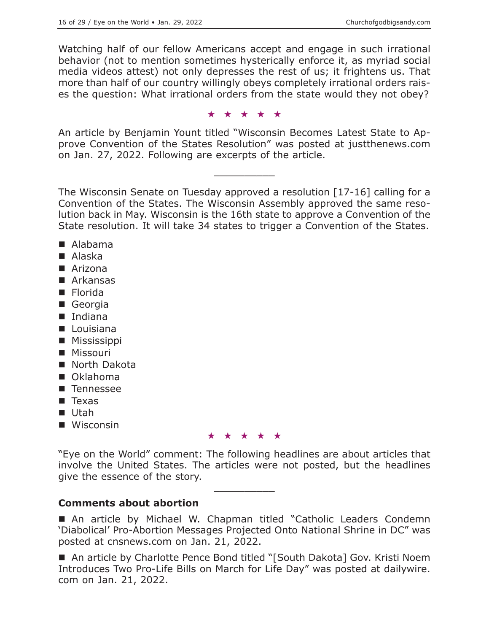Watching half of our fellow Americans accept and engage in such irrational behavior (not to mention sometimes hysterically enforce it, as myriad social media videos attest) not only depresses the rest of us; it frightens us. That more than half of our country willingly obeys completely irrational orders raises the question: What irrational orders from the state would they not obey?

★★★★★

An article by Benjamin Yount titled "Wisconsin Becomes Latest State to Approve Convention of the States Resolution" was posted at justthenews.com on Jan. 27, 2022. Following are excerpts of the article.

 $\overline{\phantom{a}}$  , where  $\overline{\phantom{a}}$ 

The Wisconsin Senate on Tuesday approved a resolution [17-16] calling for a Convention of the States. The Wisconsin Assembly approved the same resolution back in May. Wisconsin is the 16th state to approve a Convention of the State resolution. It will take 34 states to trigger a Convention of the States.

- Alabama
- Alaska
- Arizona
- Arkansas
- Florida
- Georgia
- Indiana
- **Louisiana**
- **Mississippi**
- **Missouri**
- North Dakota
- Oklahoma
- **Tennessee**
- $\blacksquare$  Texas
- Utah
- Wisconsin

★★★★★

"Eye on the World" comment: The following headlines are about articles that involve the United States. The articles were not posted, but the headlines give the essence of the story.  $\overline{\phantom{a}}$  , where  $\overline{\phantom{a}}$ 

# **Comments about abortion**

■ An article by Michael W. Chapman titled "Catholic Leaders Condemn 'Diabolical' Pro-Abortion Messages Projected Onto National Shrine in DC" was posted at cnsnews.com on Jan. 21, 2022.

■ An article by Charlotte Pence Bond titled "[South Dakota] Gov. Kristi Noem Introduces Two Pro-Life Bills on March for Life Day" was posted at dailywire. com on Jan. 21, 2022.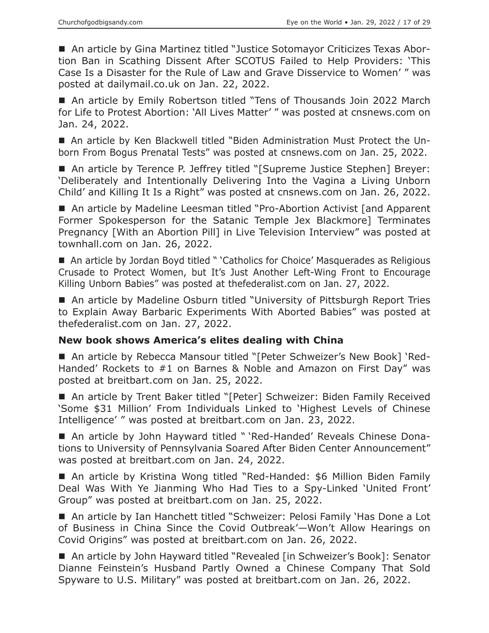An article by Gina Martinez titled "Justice Sotomayor Criticizes Texas Abortion Ban in Scathing Dissent After SCOTUS Failed to Help Providers: 'This Case Is a Disaster for the Rule of Law and Grave Disservice to Women' " was posted at dailymail.co.uk on Jan. 22, 2022.

■ An article by Emily Robertson titled "Tens of Thousands Join 2022 March for Life to Protest Abortion: 'All Lives Matter' " was posted at cnsnews.com on Jan. 24, 2022.

 An article by Ken Blackwell titled "Biden Administration Must Protect the Unborn From Bogus Prenatal Tests" was posted at cnsnews.com on Jan. 25, 2022.

■ An article by Terence P. Jeffrey titled "[Supreme Justice Stephen] Breyer: 'Deliberately and Intentionally Delivering Into the Vagina a Living Unborn Child' and Killing It Is a Right" was posted at cnsnews.com on Jan. 26, 2022.

■ An article by Madeline Leesman titled "Pro-Abortion Activist [and Apparent Former Spokesperson for the Satanic Temple Jex Blackmore] Terminates Pregnancy [With an Abortion Pill] in Live Television Interview" was posted at townhall.com on Jan. 26, 2022.

■ An article by Jordan Boyd titled " 'Catholics for Choice' Masquerades as Religious Crusade to Protect Women, but It's Just Another Left-Wing Front to Encourage Killing Unborn Babies" was posted at thefederalist.com on Jan. 27, 2022.

■ An article by Madeline Osburn titled "University of Pittsburgh Report Tries to Explain Away Barbaric Experiments With Aborted Babies" was posted at thefederalist.com on Jan. 27, 2022.

## **New book shows America's elites dealing with China**

■ An article by Rebecca Mansour titled "[Peter Schweizer's New Book] 'Red-Handed' Rockets to #1 on Barnes & Noble and Amazon on First Day" was posted at breitbart.com on Jan. 25, 2022.

■ An article by Trent Baker titled "[Peter] Schweizer: Biden Family Received 'Some \$31 Million' From Individuals Linked to 'Highest Levels of Chinese Intelligence' " was posted at breitbart.com on Jan. 23, 2022.

 An article by John Hayward titled " 'Red-Handed' Reveals Chinese Donations to University of Pennsylvania Soared After Biden Center Announcement" was posted at breitbart.com on Jan. 24, 2022.

■ An article by Kristina Wong titled "Red-Handed: \$6 Million Biden Family Deal Was With Ye Jianming Who Had Ties to a Spy-Linked 'United Front' Group" was posted at breitbart.com on Jan. 25, 2022.

■ An article by Ian Hanchett titled "Schweizer: Pelosi Family 'Has Done a Lot of Business in China Since the Covid Outbreak'—Won't Allow Hearings on Covid Origins" was posted at breitbart.com on Jan. 26, 2022.

■ An article by John Hayward titled "Revealed [in Schweizer's Book]: Senator Dianne Feinstein's Husband Partly Owned a Chinese Company That Sold Spyware to U.S. Military" was posted at breitbart.com on Jan. 26, 2022.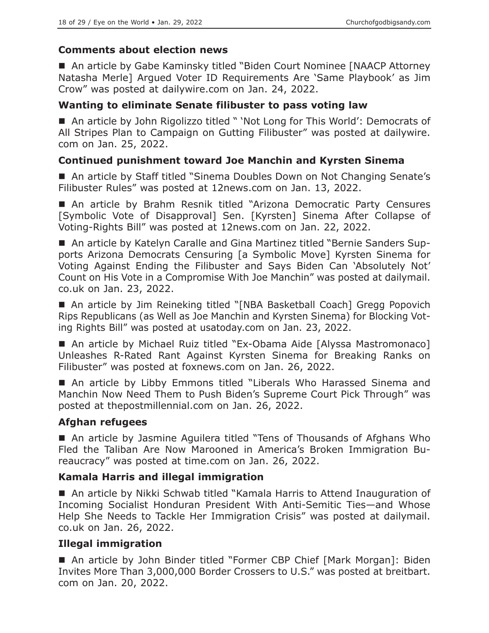## **Comments about election news**

■ An article by Gabe Kaminsky titled "Biden Court Nominee [NAACP Attorney Natasha Merle] Argued Voter ID Requirements Are 'Same Playbook' as Jim Crow" was posted at dailywire.com on Jan. 24, 2022.

## **Wanting to eliminate Senate filibuster to pass voting law**

■ An article by John Rigolizzo titled " 'Not Long for This World': Democrats of All Stripes Plan to Campaign on Gutting Filibuster" was posted at dailywire. com on Jan. 25, 2022.

## **Continued punishment toward Joe Manchin and Kyrsten Sinema**

■ An article by Staff titled "Sinema Doubles Down on Not Changing Senate's Filibuster Rules" was posted at 12news.com on Jan. 13, 2022.

■ An article by Brahm Resnik titled "Arizona Democratic Party Censures [Symbolic Vote of Disapproval] Sen. [Kyrsten] Sinema After Collapse of Voting-Rights Bill" was posted at 12news.com on Jan. 22, 2022.

 An article by Katelyn Caralle and Gina Martinez titled "Bernie Sanders Supports Arizona Democrats Censuring [a Symbolic Move] Kyrsten Sinema for Voting Against Ending the Filibuster and Says Biden Can 'Absolutely Not' Count on His Vote in a Compromise With Joe Manchin" was posted at dailymail. co.uk on Jan. 23, 2022.

■ An article by Jim Reineking titled "[NBA Basketball Coach] Gregg Popovich Rips Republicans (as Well as Joe Manchin and Kyrsten Sinema) for Blocking Voting Rights Bill" was posted at usatoday.com on Jan. 23, 2022.

■ An article by Michael Ruiz titled "Ex-Obama Aide [Alyssa Mastromonaco] Unleashes R-Rated Rant Against Kyrsten Sinema for Breaking Ranks on Filibuster" was posted at foxnews.com on Jan. 26, 2022.

 An article by Libby Emmons titled "Liberals Who Harassed Sinema and Manchin Now Need Them to Push Biden's Supreme Court Pick Through" was posted at thepostmillennial.com on Jan. 26, 2022.

## **Afghan refugees**

 An article by Jasmine Aguilera titled "Tens of Thousands of Afghans Who Fled the Taliban Are Now Marooned in America's Broken Immigration Bureaucracy" was posted at time.com on Jan. 26, 2022.

## **Kamala Harris and illegal immigration**

■ An article by Nikki Schwab titled "Kamala Harris to Attend Inauguration of Incoming Socialist Honduran President With Anti-Semitic Ties—and Whose Help She Needs to Tackle Her Immigration Crisis" was posted at dailymail. co.uk on Jan. 26, 2022.

# **Illegal immigration**

■ An article by John Binder titled "Former CBP Chief [Mark Morgan]: Biden Invites More Than 3,000,000 Border Crossers to U.S." was posted at breitbart. com on Jan. 20, 2022.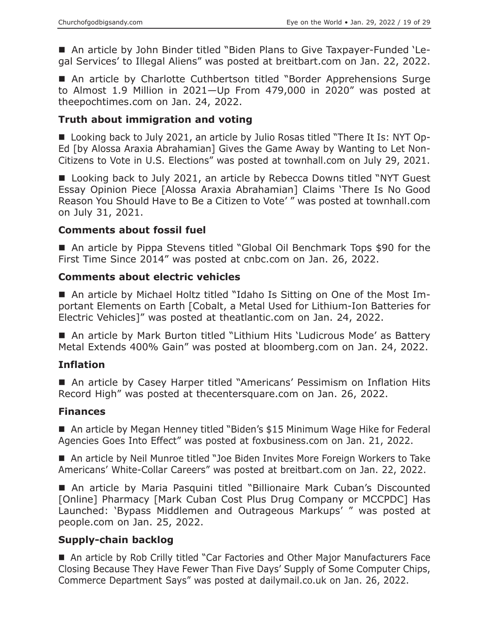■ An article by John Binder titled "Biden Plans to Give Taxpayer-Funded 'Legal Services' to Illegal Aliens" was posted at breitbart.com on Jan. 22, 2022.

■ An article by Charlotte Cuthbertson titled "Border Apprehensions Surge to Almost 1.9 Million in 2021—Up From 479,000 in 2020" was posted at theepochtimes.com on Jan. 24, 2022.

## **Truth about immigration and voting**

■ Looking back to July 2021, an article by Julio Rosas titled "There It Is: NYT Op-Ed [by Alossa Araxia Abrahamian] Gives the Game Away by Wanting to Let Non-Citizens to Vote in U.S. Elections" was posted at townhall.com on July 29, 2021.

■ Looking back to July 2021, an article by Rebecca Downs titled "NYT Guest Essay Opinion Piece [Alossa Araxia Abrahamian] Claims 'There Is No Good Reason You Should Have to Be a Citizen to Vote' " was posted at townhall.com on July 31, 2021.

#### **Comments about fossil fuel**

■ An article by Pippa Stevens titled "Global Oil Benchmark Tops \$90 for the First Time Since 2014" was posted at cnbc.com on Jan. 26, 2022.

## **Comments about electric vehicles**

 An article by Michael Holtz titled "Idaho Is Sitting on One of the Most Important Elements on Earth [Cobalt, a Metal Used for Lithium-Ion Batteries for Electric Vehicles]" was posted at theatlantic.com on Jan. 24, 2022.

■ An article by Mark Burton titled "Lithium Hits 'Ludicrous Mode' as Battery Metal Extends 400% Gain" was posted at bloomberg.com on Jan. 24, 2022.

## **Inflation**

■ An article by Casey Harper titled "Americans' Pessimism on Inflation Hits Record High" was posted at thecentersquare.com on Jan. 26, 2022.

## **Finances**

■ An article by Megan Henney titled "Biden's \$15 Minimum Wage Hike for Federal Agencies Goes Into Effect" was posted at foxbusiness.com on Jan. 21, 2022.

■ An article by Neil Munroe titled "Joe Biden Invites More Foreign Workers to Take Americans' White-Collar Careers" was posted at breitbart.com on Jan. 22, 2022.

 An article by Maria Pasquini titled "Billionaire Mark Cuban's Discounted [Online] Pharmacy [Mark Cuban Cost Plus Drug Company or MCCPDC] Has Launched: 'Bypass Middlemen and Outrageous Markups' " was posted at people.com on Jan. 25, 2022.

## **Supply-chain backlog**

■ An article by Rob Crilly titled "Car Factories and Other Major Manufacturers Face Closing Because They Have Fewer Than Five Days' Supply of Some Computer Chips, Commerce Department Says" was posted at dailymail.co.uk on Jan. 26, 2022.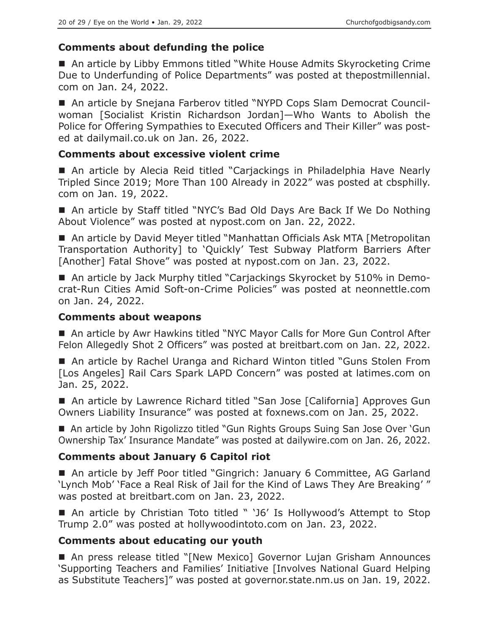# **Comments about defunding the police**

■ An article by Libby Emmons titled "White House Admits Skyrocketing Crime Due to Underfunding of Police Departments" was posted at thepostmillennial. com on Jan. 24, 2022.

■ An article by Snejana Farberov titled "NYPD Cops Slam Democrat Councilwoman [Socialist Kristin Richardson Jordan]—Who Wants to Abolish the Police for Offering Sympathies to Executed Officers and Their Killer" was posted at dailymail.co.uk on Jan. 26, 2022.

#### **Comments about excessive violent crime**

■ An article by Alecia Reid titled "Carjackings in Philadelphia Have Nearly Tripled Since 2019; More Than 100 Already in 2022" was posted at cbsphilly. com on Jan. 19, 2022.

■ An article by Staff titled "NYC's Bad Old Days Are Back If We Do Nothing About Violence" was posted at nypost.com on Jan. 22, 2022.

■ An article by David Meyer titled "Manhattan Officials Ask MTA [Metropolitan Transportation Authority] to 'Quickly' Test Subway Platform Barriers After [Another] Fatal Shove" was posted at nypost.com on Jan. 23, 2022.

■ An article by Jack Murphy titled "Carjackings Skyrocket by 510% in Democrat-Run Cities Amid Soft-on-Crime Policies" was posted at neonnettle.com on Jan. 24, 2022.

#### **Comments about weapons**

■ An article by Awr Hawkins titled "NYC Mayor Calls for More Gun Control After Felon Allegedly Shot 2 Officers" was posted at breitbart.com on Jan. 22, 2022.

■ An article by Rachel Uranga and Richard Winton titled "Guns Stolen From [Los Angeles] Rail Cars Spark LAPD Concern" was posted at latimes.com on Jan. 25, 2022.

■ An article by Lawrence Richard titled "San Jose [California] Approves Gun Owners Liability Insurance" was posted at foxnews.com on Jan. 25, 2022.

■ An article by John Rigolizzo titled "Gun Rights Groups Suing San Jose Over 'Gun Ownership Tax' Insurance Mandate" was posted at dailywire.com on Jan. 26, 2022.

# **Comments about January 6 Capitol riot**

■ An article by Jeff Poor titled "Gingrich: January 6 Committee, AG Garland 'Lynch Mob' 'Face a Real Risk of Jail for the Kind of Laws They Are Breaking' " was posted at breitbart.com on Jan. 23, 2022.

■ An article by Christian Toto titled " 'J6' Is Hollywood's Attempt to Stop Trump 2.0" was posted at hollywoodintoto.com on Jan. 23, 2022.

## **Comments about educating our youth**

■ An press release titled "[New Mexico] Governor Lujan Grisham Announces 'Supporting Teachers and Families' Initiative [Involves National Guard Helping as Substitute Teachers]" was posted at governor.state.nm.us on Jan. 19, 2022.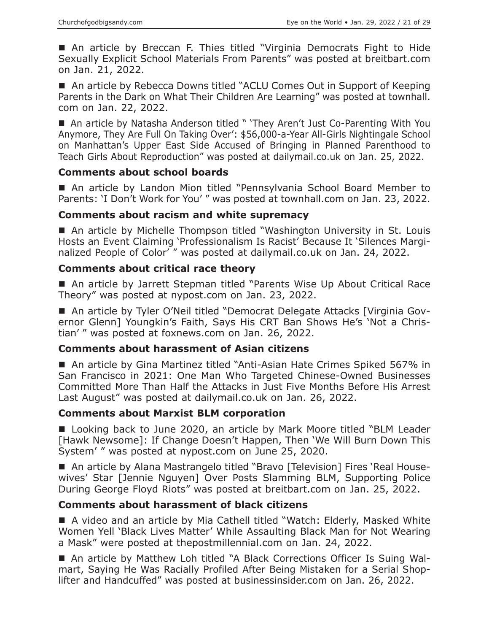■ An article by Breccan F. Thies titled "Virginia Democrats Fight to Hide Sexually Explicit School Materials From Parents" was posted at breitbart.com on Jan. 21, 2022.

■ An article by Rebecca Downs titled "ACLU Comes Out in Support of Keeping Parents in the Dark on What Their Children Are Learning" was posted at townhall. com on Jan. 22, 2022.

■ An article by Natasha Anderson titled " 'They Aren't Just Co-Parenting With You Anymore, They Are Full On Taking Over': \$56,000-a-Year All-Girls Nightingale School on Manhattan's Upper East Side Accused of Bringing in Planned Parenthood to Teach Girls About Reproduction" was posted at dailymail.co.uk on Jan. 25, 2022.

#### **Comments about school boards**

 An article by Landon Mion titled "Pennsylvania School Board Member to Parents: 'I Don't Work for You' " was posted at townhall.com on Jan. 23, 2022.

#### **Comments about racism and white supremacy**

■ An article by Michelle Thompson titled "Washington University in St. Louis Hosts an Event Claiming 'Professionalism Is Racist' Because It 'Silences Marginalized People of Color' " was posted at dailymail.co.uk on Jan. 24, 2022.

#### **Comments about critical race theory**

■ An article by Jarrett Stepman titled "Parents Wise Up About Critical Race Theory" was posted at nypost.com on Jan. 23, 2022.

■ An article by Tyler O'Neil titled "Democrat Delegate Attacks [Virginia Governor Glenn] Youngkin's Faith, Says His CRT Ban Shows He's 'Not a Christian' " was posted at foxnews.com on Jan. 26, 2022.

## **Comments about harassment of Asian citizens**

■ An article by Gina Martinez titled "Anti-Asian Hate Crimes Spiked 567% in San Francisco in 2021: One Man Who Targeted Chinese-Owned Businesses Committed More Than Half the Attacks in Just Five Months Before His Arrest Last August" was posted at dailymail.co.uk on Jan. 26, 2022.

## **Comments about Marxist BLM corporation**

■ Looking back to June 2020, an article by Mark Moore titled "BLM Leader [Hawk Newsome]: If Change Doesn't Happen, Then 'We Will Burn Down This System' " was posted at nypost.com on June 25, 2020.

 An article by Alana Mastrangelo titled "Bravo [Television] Fires 'Real Housewives' Star [Jennie Nguyen] Over Posts Slamming BLM, Supporting Police During George Floyd Riots" was posted at breitbart.com on Jan. 25, 2022.

## **Comments about harassment of black citizens**

■ A video and an article by Mia Cathell titled "Watch: Elderly, Masked White Women Yell 'Black Lives Matter' While Assaulting Black Man for Not Wearing a Mask" were posted at thepostmillennial.com on Jan. 24, 2022.

■ An article by Matthew Loh titled "A Black Corrections Officer Is Suing Walmart, Saying He Was Racially Profiled After Being Mistaken for a Serial Shoplifter and Handcuffed" was posted at businessinsider.com on Jan. 26, 2022.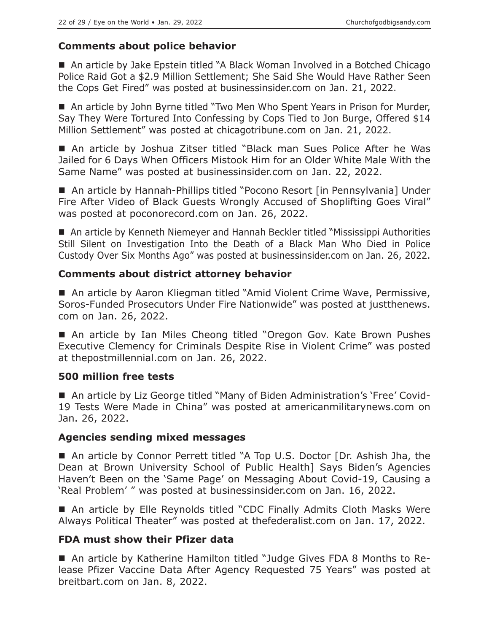## **Comments about police behavior**

■ An article by Jake Epstein titled "A Black Woman Involved in a Botched Chicago Police Raid Got a \$2.9 Million Settlement; She Said She Would Have Rather Seen the Cops Get Fired" was posted at businessinsider.com on Jan. 21, 2022.

■ An article by John Byrne titled "Two Men Who Spent Years in Prison for Murder, Say They Were Tortured Into Confessing by Cops Tied to Jon Burge, Offered \$14 Million Settlement" was posted at chicagotribune.com on Jan. 21, 2022.

 An article by Joshua Zitser titled "Black man Sues Police After he Was Jailed for 6 Days When Officers Mistook Him for an Older White Male With the Same Name" was posted at businessinsider.com on Jan. 22, 2022.

■ An article by Hannah-Phillips titled "Pocono Resort [in Pennsylvania] Under Fire After Video of Black Guests Wrongly Accused of Shoplifting Goes Viral" was posted at poconorecord.com on Jan. 26, 2022.

 An article by Kenneth Niemeyer and Hannah Beckler titled "Mississippi Authorities Still Silent on Investigation Into the Death of a Black Man Who Died in Police Custody Over Six Months Ago" was posted at businessinsider.com on Jan. 26, 2022.

## **Comments about district attorney behavior**

■ An article by Aaron Kliegman titled "Amid Violent Crime Wave, Permissive, Soros-Funded Prosecutors Under Fire Nationwide" was posted at justthenews. com on Jan. 26, 2022.

■ An article by Ian Miles Cheong titled "Oregon Gov. Kate Brown Pushes Executive Clemency for Criminals Despite Rise in Violent Crime" was posted at thepostmillennial.com on Jan. 26, 2022.

## **500 million free tests**

■ An article by Liz George titled "Many of Biden Administration's 'Free' Covid-19 Tests Were Made in China" was posted at americanmilitarynews.com on Jan. 26, 2022.

## **Agencies sending mixed messages**

■ An article by Connor Perrett titled "A Top U.S. Doctor [Dr. Ashish Jha, the Dean at Brown University School of Public Health] Says Biden's Agencies Haven't Been on the 'Same Page' on Messaging About Covid-19, Causing a 'Real Problem' " was posted at businessinsider.com on Jan. 16, 2022.

■ An article by Elle Reynolds titled "CDC Finally Admits Cloth Masks Were Always Political Theater" was posted at thefederalist.com on Jan. 17, 2022.

## **FDA must show their Pfizer data**

■ An article by Katherine Hamilton titled "Judge Gives FDA 8 Months to Release Pfizer Vaccine Data After Agency Requested 75 Years" was posted at breitbart.com on Jan. 8, 2022.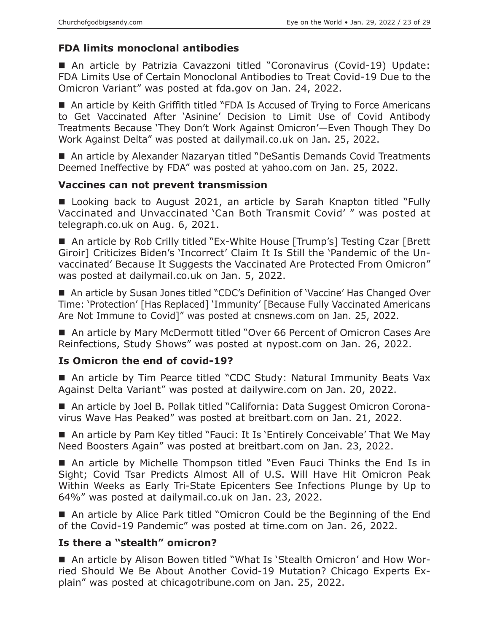# **FDA limits monoclonal antibodies**

■ An article by Patrizia Cavazzoni titled "Coronavirus (Covid-19) Update: FDA Limits Use of Certain Monoclonal Antibodies to Treat Covid-19 Due to the Omicron Variant" was posted at fda.gov on Jan. 24, 2022.

■ An article by Keith Griffith titled "FDA Is Accused of Trying to Force Americans to Get Vaccinated After 'Asinine' Decision to Limit Use of Covid Antibody Treatments Because 'They Don't Work Against Omicron'—Even Though They Do Work Against Delta" was posted at dailymail.co.uk on Jan. 25, 2022.

■ An article by Alexander Nazaryan titled "DeSantis Demands Covid Treatments Deemed Ineffective by FDA" was posted at yahoo.com on Jan. 25, 2022.

## **Vaccines can not prevent transmission**

■ Looking back to August 2021, an article by Sarah Knapton titled "Fully Vaccinated and Unvaccinated 'Can Both Transmit Covid' " was posted at telegraph.co.uk on Aug. 6, 2021.

■ An article by Rob Crilly titled "Ex-White House [Trump's] Testing Czar [Brett] Giroir] Criticizes Biden's 'Incorrect' Claim It Is Still the 'Pandemic of the Unvaccinated' Because It Suggests the Vaccinated Are Protected From Omicron" was posted at dailymail.co.uk on Jan. 5, 2022.

■ An article by Susan Jones titled "CDC's Definition of 'Vaccine' Has Changed Over Time: 'Protection' [Has Replaced] 'Immunity' [Because Fully Vaccinated Americans Are Not Immune to Covid]" was posted at cnsnews.com on Jan. 25, 2022.

■ An article by Mary McDermott titled "Over 66 Percent of Omicron Cases Are Reinfections, Study Shows" was posted at nypost.com on Jan. 26, 2022.

# **Is Omicron the end of covid-19?**

■ An article by Tim Pearce titled "CDC Study: Natural Immunity Beats Vax Against Delta Variant" was posted at dailywire.com on Jan. 20, 2022.

■ An article by Joel B. Pollak titled "California: Data Suggest Omicron Coronavirus Wave Has Peaked" was posted at breitbart.com on Jan. 21, 2022.

■ An article by Pam Key titled "Fauci: It Is 'Entirely Conceivable' That We May Need Boosters Again" was posted at breitbart.com on Jan. 23, 2022.

 An article by Michelle Thompson titled "Even Fauci Thinks the End Is in Sight; Covid Tsar Predicts Almost All of U.S. Will Have Hit Omicron Peak Within Weeks as Early Tri-State Epicenters See Infections Plunge by Up to 64%" was posted at dailymail.co.uk on Jan. 23, 2022.

■ An article by Alice Park titled "Omicron Could be the Beginning of the End of the Covid-19 Pandemic" was posted at time.com on Jan. 26, 2022.

# **Is there a "stealth" omicron?**

■ An article by Alison Bowen titled "What Is 'Stealth Omicron' and How Worried Should We Be About Another Covid-19 Mutation? Chicago Experts Explain" was posted at chicagotribune.com on Jan. 25, 2022.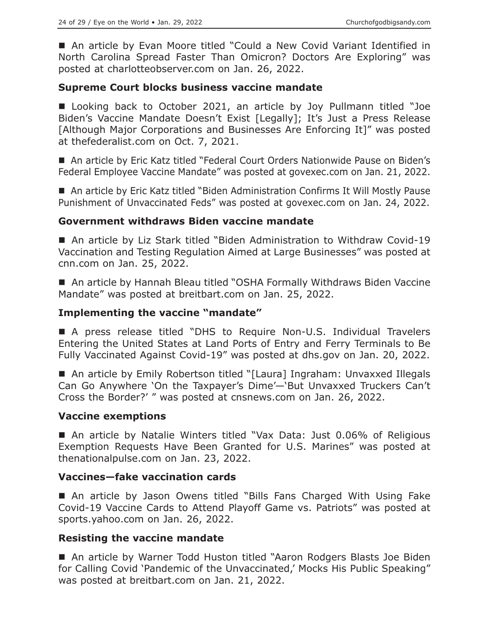■ An article by Evan Moore titled "Could a New Covid Variant Identified in North Carolina Spread Faster Than Omicron? Doctors Are Exploring" was posted at charlotteobserver.com on Jan. 26, 2022.

## **Supreme Court blocks business vaccine mandate**

■ Looking back to October 2021, an article by Joy Pullmann titled "Joe Biden's Vaccine Mandate Doesn't Exist [Legally]; It's Just a Press Release [Although Major Corporations and Businesses Are Enforcing It]" was posted at thefederalist.com on Oct. 7, 2021.

■ An article by Eric Katz titled "Federal Court Orders Nationwide Pause on Biden's Federal Employee Vaccine Mandate" was posted at govexec.com on Jan. 21, 2022.

■ An article by Eric Katz titled "Biden Administration Confirms It Will Mostly Pause Punishment of Unvaccinated Feds" was posted at govexec.com on Jan. 24, 2022.

## **Government withdraws Biden vaccine mandate**

■ An article by Liz Stark titled "Biden Administration to Withdraw Covid-19 Vaccination and Testing Regulation Aimed at Large Businesses" was posted at cnn.com on Jan. 25, 2022.

■ An article by Hannah Bleau titled "OSHA Formally Withdraws Biden Vaccine Mandate" was posted at breitbart.com on Jan. 25, 2022.

## **Implementing the vaccine "mandate"**

 A press release titled "DHS to Require Non-U.S. Individual Travelers Entering the United States at Land Ports of Entry and Ferry Terminals to Be Fully Vaccinated Against Covid-19" was posted at dhs.gov on Jan. 20, 2022.

■ An article by Emily Robertson titled "[Laura] Ingraham: Unvaxxed Illegals Can Go Anywhere 'On the Taxpayer's Dime'—'But Unvaxxed Truckers Can't Cross the Border?' " was posted at cnsnews.com on Jan. 26, 2022.

## **Vaccine exemptions**

■ An article by Natalie Winters titled "Vax Data: Just 0.06% of Religious Exemption Requests Have Been Granted for U.S. Marines" was posted at thenationalpulse.com on Jan. 23, 2022.

## **Vaccines—fake vaccination cards**

 An article by Jason Owens titled "Bills Fans Charged With Using Fake Covid-19 Vaccine Cards to Attend Playoff Game vs. Patriots" was posted at sports.yahoo.com on Jan. 26, 2022.

## **Resisting the vaccine mandate**

■ An article by Warner Todd Huston titled "Aaron Rodgers Blasts Joe Biden for Calling Covid 'Pandemic of the Unvaccinated,' Mocks His Public Speaking" was posted at breitbart.com on Jan. 21, 2022.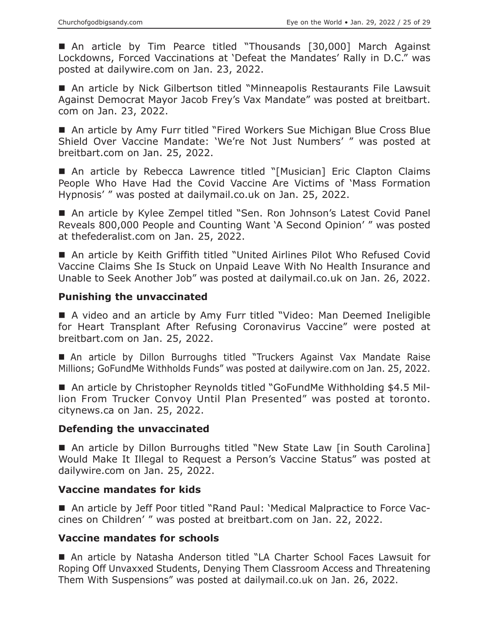An article by Tim Pearce titled "Thousands [30,000] March Against Lockdowns, Forced Vaccinations at 'Defeat the Mandates' Rally in D.C." was posted at dailywire.com on Jan. 23, 2022.

■ An article by Nick Gilbertson titled "Minneapolis Restaurants File Lawsuit Against Democrat Mayor Jacob Frey's Vax Mandate" was posted at breitbart. com on Jan. 23, 2022.

■ An article by Amy Furr titled "Fired Workers Sue Michigan Blue Cross Blue Shield Over Vaccine Mandate: 'We're Not Just Numbers' " was posted at breitbart.com on Jan. 25, 2022.

■ An article by Rebecca Lawrence titled "[Musician] Eric Clapton Claims People Who Have Had the Covid Vaccine Are Victims of 'Mass Formation Hypnosis' " was posted at dailymail.co.uk on Jan. 25, 2022.

■ An article by Kylee Zempel titled "Sen. Ron Johnson's Latest Covid Panel Reveals 800,000 People and Counting Want 'A Second Opinion' " was posted at thefederalist.com on Jan. 25, 2022.

■ An article by Keith Griffith titled "United Airlines Pilot Who Refused Covid Vaccine Claims She Is Stuck on Unpaid Leave With No Health Insurance and Unable to Seek Another Job" was posted at dailymail.co.uk on Jan. 26, 2022.

#### **Punishing the unvaccinated**

■ A video and an article by Amy Furr titled "Video: Man Deemed Ineligible for Heart Transplant After Refusing Coronavirus Vaccine" were posted at breitbart.com on Jan. 25, 2022.

 An article by Dillon Burroughs titled "Truckers Against Vax Mandate Raise Millions; GoFundMe Withholds Funds" was posted at dailywire.com on Jan. 25, 2022.

■ An article by Christopher Reynolds titled "GoFundMe Withholding \$4.5 Million From Trucker Convoy Until Plan Presented" was posted at toronto. citynews.ca on Jan. 25, 2022.

#### **Defending the unvaccinated**

■ An article by Dillon Burroughs titled "New State Law [in South Carolina] Would Make It Illegal to Request a Person's Vaccine Status" was posted at dailywire.com on Jan. 25, 2022.

## **Vaccine mandates for kids**

■ An article by Jeff Poor titled "Rand Paul: 'Medical Malpractice to Force Vaccines on Children' " was posted at breitbart.com on Jan. 22, 2022.

#### **Vaccine mandates for schools**

 An article by Natasha Anderson titled "LA Charter School Faces Lawsuit for Roping Off Unvaxxed Students, Denying Them Classroom Access and Threatening Them With Suspensions" was posted at dailymail.co.uk on Jan. 26, 2022.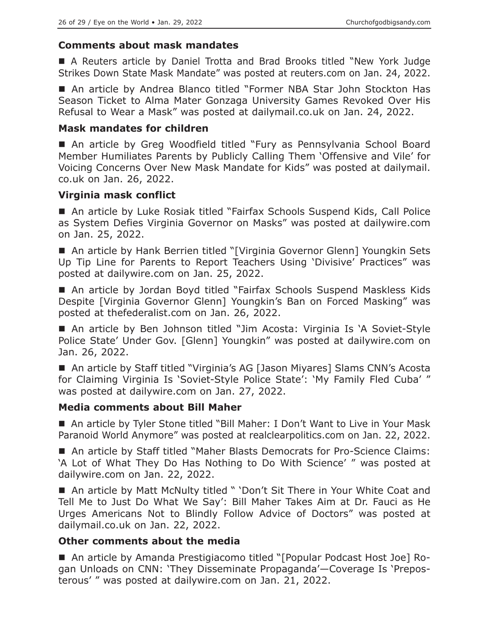## **Comments about mask mandates**

 A Reuters article by Daniel Trotta and Brad Brooks titled "New York Judge Strikes Down State Mask Mandate" was posted at reuters.com on Jan. 24, 2022.

 An article by Andrea Blanco titled "Former NBA Star John Stockton Has Season Ticket to Alma Mater Gonzaga University Games Revoked Over His Refusal to Wear a Mask" was posted at dailymail.co.uk on Jan. 24, 2022.

#### **Mask mandates for children**

 An article by Greg Woodfield titled "Fury as Pennsylvania School Board Member Humiliates Parents by Publicly Calling Them 'Offensive and Vile' for Voicing Concerns Over New Mask Mandate for Kids" was posted at dailymail. co.uk on Jan. 26, 2022.

#### **Virginia mask conflict**

 An article by Luke Rosiak titled "Fairfax Schools Suspend Kids, Call Police as System Defies Virginia Governor on Masks" was posted at dailywire.com on Jan. 25, 2022.

■ An article by Hank Berrien titled "[Virginia Governor Glenn] Youngkin Sets Up Tip Line for Parents to Report Teachers Using 'Divisive' Practices" was posted at dailywire.com on Jan. 25, 2022.

■ An article by Jordan Boyd titled "Fairfax Schools Suspend Maskless Kids Despite [Virginia Governor Glenn] Youngkin's Ban on Forced Masking" was posted at thefederalist.com on Jan. 26, 2022.

■ An article by Ben Johnson titled "Jim Acosta: Virginia Is 'A Soviet-Style Police State' Under Gov. [Glenn] Youngkin" was posted at dailywire.com on Jan. 26, 2022.

■ An article by Staff titled "Virginia's AG [Jason Miyares] Slams CNN's Acosta for Claiming Virginia Is 'Soviet-Style Police State': 'My Family Fled Cuba' " was posted at dailywire.com on Jan. 27, 2022.

## **Media comments about Bill Maher**

■ An article by Tyler Stone titled "Bill Maher: I Don't Want to Live in Your Mask Paranoid World Anymore" was posted at realclearpolitics.com on Jan. 22, 2022.

■ An article by Staff titled "Maher Blasts Democrats for Pro-Science Claims: 'A Lot of What They Do Has Nothing to Do With Science' " was posted at dailywire.com on Jan. 22, 2022.

■ An article by Matt McNulty titled " 'Don't Sit There in Your White Coat and Tell Me to Just Do What We Say': Bill Maher Takes Aim at Dr. Fauci as He Urges Americans Not to Blindly Follow Advice of Doctors" was posted at dailymail.co.uk on Jan. 22, 2022.

## **Other comments about the media**

■ An article by Amanda Prestigiacomo titled "[Popular Podcast Host Joe] Rogan Unloads on CNN: 'They Disseminate Propaganda'—Coverage Is 'Preposterous' " was posted at dailywire.com on Jan. 21, 2022.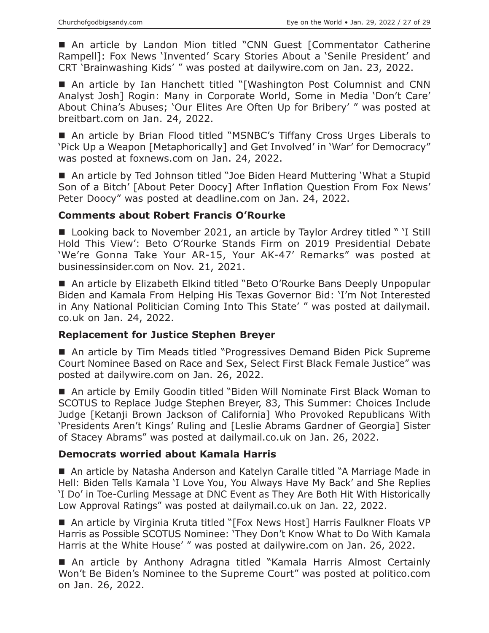■ An article by Landon Mion titled "CNN Guest [Commentator Catherine Rampell]: Fox News 'Invented' Scary Stories About a 'Senile President' and CRT 'Brainwashing Kids' " was posted at dailywire.com on Jan. 23, 2022.

 An article by Ian Hanchett titled "[Washington Post Columnist and CNN Analyst Josh] Rogin: Many in Corporate World, Some in Media 'Don't Care' About China's Abuses; 'Our Elites Are Often Up for Bribery' " was posted at breitbart.com on Jan. 24, 2022.

■ An article by Brian Flood titled "MSNBC's Tiffany Cross Urges Liberals to 'Pick Up a Weapon [Metaphorically] and Get Involved' in 'War' for Democracy" was posted at foxnews.com on Jan. 24, 2022.

■ An article by Ted Johnson titled "Joe Biden Heard Muttering 'What a Stupid Son of a Bitch' [About Peter Doocy] After Inflation Question From Fox News' Peter Doocy" was posted at deadline.com on Jan. 24, 2022.

#### **Comments about Robert Francis O'Rourke**

■ Looking back to November 2021, an article by Taylor Ardrey titled " 'I Still Hold This View': Beto O'Rourke Stands Firm on 2019 Presidential Debate 'We're Gonna Take Your AR-15, Your AK-47' Remarks" was posted at businessinsider.com on Nov. 21, 2021.

■ An article by Elizabeth Elkind titled "Beto O'Rourke Bans Deeply Unpopular Biden and Kamala From Helping His Texas Governor Bid: 'I'm Not Interested in Any National Politician Coming Into This State' " was posted at dailymail. co.uk on Jan. 24, 2022.

## **Replacement for Justice Stephen Breyer**

■ An article by Tim Meads titled "Progressives Demand Biden Pick Supreme Court Nominee Based on Race and Sex, Select First Black Female Justice" was posted at dailywire.com on Jan. 26, 2022.

■ An article by Emily Goodin titled "Biden Will Nominate First Black Woman to SCOTUS to Replace Judge Stephen Breyer, 83, This Summer: Choices Include Judge [Ketanji Brown Jackson of California] Who Provoked Republicans With 'Presidents Aren't Kings' Ruling and [Leslie Abrams Gardner of Georgia] Sister of Stacey Abrams" was posted at dailymail.co.uk on Jan. 26, 2022.

## **Democrats worried about Kamala Harris**

■ An article by Natasha Anderson and Katelyn Caralle titled "A Marriage Made in Hell: Biden Tells Kamala 'I Love You, You Always Have My Back' and She Replies 'I Do' in Toe-Curling Message at DNC Event as They Are Both Hit With Historically Low Approval Ratings" was posted at dailymail.co.uk on Jan. 22, 2022.

■ An article by Virginia Kruta titled "[Fox News Host] Harris Faulkner Floats VP Harris as Possible SCOTUS Nominee: 'They Don't Know What to Do With Kamala Harris at the White House' " was posted at dailywire.com on Jan. 26, 2022.

■ An article by Anthony Adragna titled "Kamala Harris Almost Certainly Won't Be Biden's Nominee to the Supreme Court" was posted at politico.com on Jan. 26, 2022.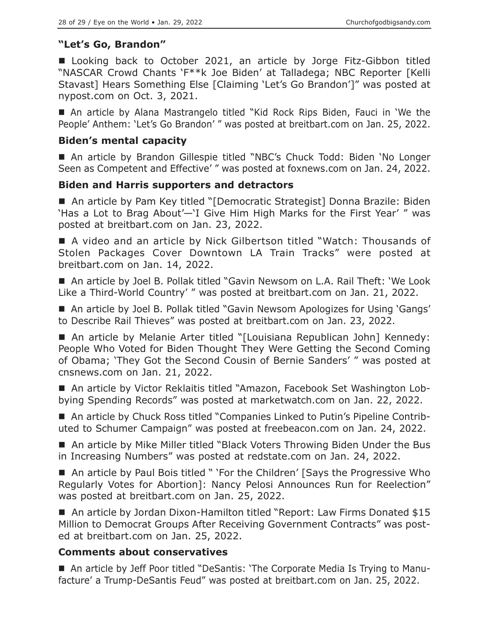# **"Let's Go, Brandon"**

■ Looking back to October 2021, an article by Jorge Fitz-Gibbon titled "NASCAR Crowd Chants 'F\*\*k Joe Biden' at Talladega; NBC Reporter [Kelli Stavast] Hears Something Else [Claiming 'Let's Go Brandon']" was posted at nypost.com on Oct. 3, 2021.

 An article by Alana Mastrangelo titled "Kid Rock Rips Biden, Fauci in 'We the People' Anthem: 'Let's Go Brandon' " was posted at breitbart.com on Jan. 25, 2022.

## **Biden's mental capacity**

■ An article by Brandon Gillespie titled "NBC's Chuck Todd: Biden 'No Longer Seen as Competent and Effective' " was posted at foxnews.com on Jan. 24, 2022.

# **Biden and Harris supporters and detractors**

■ An article by Pam Key titled "[Democratic Strategist] Donna Brazile: Biden 'Has a Lot to Brag About'—'I Give Him High Marks for the First Year' " was posted at breitbart.com on Jan. 23, 2022.

■ A video and an article by Nick Gilbertson titled "Watch: Thousands of Stolen Packages Cover Downtown LA Train Tracks" were posted at breitbart.com on Jan. 14, 2022.

■ An article by Joel B. Pollak titled "Gavin Newsom on L.A. Rail Theft: 'We Look Like a Third-World Country' " was posted at breitbart.com on Jan. 21, 2022.

■ An article by Joel B. Pollak titled "Gavin Newsom Apologizes for Using 'Gangs' to Describe Rail Thieves" was posted at breitbart.com on Jan. 23, 2022.

■ An article by Melanie Arter titled "[Louisiana Republican John] Kennedy: People Who Voted for Biden Thought They Were Getting the Second Coming of Obama; 'They Got the Second Cousin of Bernie Sanders' " was posted at cnsnews.com on Jan. 21, 2022.

 An article by Victor Reklaitis titled "Amazon, Facebook Set Washington Lobbying Spending Records" was posted at marketwatch.com on Jan. 22, 2022.

■ An article by Chuck Ross titled "Companies Linked to Putin's Pipeline Contributed to Schumer Campaign" was posted at freebeacon.com on Jan. 24, 2022.

■ An article by Mike Miller titled "Black Voters Throwing Biden Under the Bus in Increasing Numbers" was posted at redstate.com on Jan. 24, 2022.

■ An article by Paul Bois titled " 'For the Children' [Says the Progressive Who Regularly Votes for Abortion]: Nancy Pelosi Announces Run for Reelection" was posted at breitbart.com on Jan. 25, 2022.

■ An article by Jordan Dixon-Hamilton titled "Report: Law Firms Donated \$15 Million to Democrat Groups After Receiving Government Contracts" was posted at breitbart.com on Jan. 25, 2022.

# **Comments about conservatives**

 An article by Jeff Poor titled "DeSantis: 'The Corporate Media Is Trying to Manufacture' a Trump-DeSantis Feud" was posted at breitbart.com on Jan. 25, 2022.